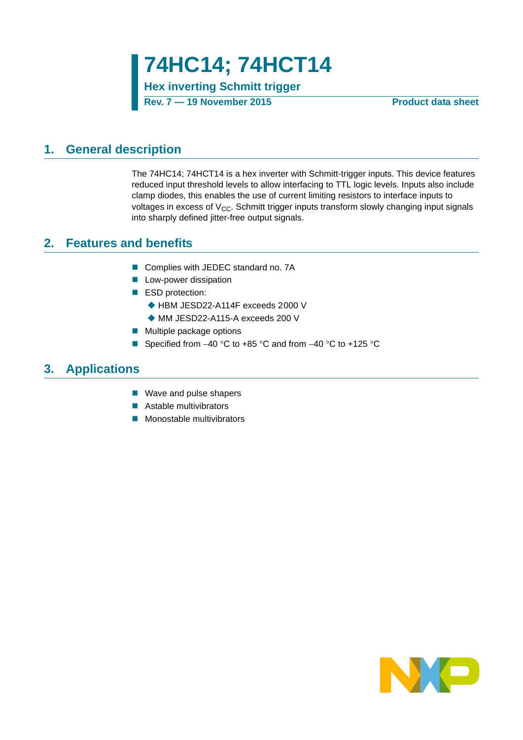**74HC14; 74HCT14**

**Hex inverting Schmitt trigger**

**Rev. 7 — 19 November 2015 Product data sheet**

### <span id="page-0-0"></span>**1. General description**

The 74HC14; 74HCT14 is a hex inverter with Schmitt-trigger inputs. This device features reduced input threshold levels to allow interfacing to TTL logic levels. Inputs also include clamp diodes, this enables the use of current limiting resistors to interface inputs to voltages in excess of  $V_{\text{CC}}$ . Schmitt trigger inputs transform slowly changing input signals into sharply defined jitter-free output signals.

### <span id="page-0-1"></span>**2. Features and benefits**

- Complies with JEDEC standard no. 7A
- **Low-power dissipation**
- ESD protection:
	- ◆ HBM JESD22-A114F exceeds 2000 V
	- ◆ MM JESD22-A115-A exceeds 200 V
- **Multiple package options**
- Specified from  $-40$  °C to  $+85$  °C and from  $-40$  °C to  $+125$  °C

### <span id="page-0-2"></span>**3. Applications**

- Wave and pulse shapers
- **Astable multivibrators**
- **Monostable multivibrators**

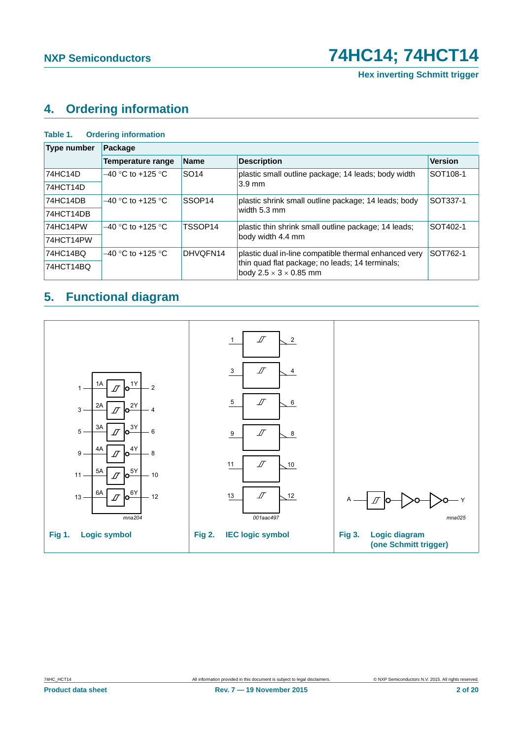# <span id="page-1-0"></span>**4. Ordering information**

#### **Table 1. Ordering information**

| <b>Type number</b> | Package                  |                     |                                                                                       |                |  |  |  |
|--------------------|--------------------------|---------------------|---------------------------------------------------------------------------------------|----------------|--|--|--|
|                    | <b>Temperature range</b> | <b>Name</b>         | <b>Description</b>                                                                    | <b>Version</b> |  |  |  |
| 74HC14D            | $-40$ °C to +125 °C      | <b>SO14</b>         | plastic small outline package; 14 leads; body width                                   | SOT108-1       |  |  |  |
| 74HCT14D           |                          |                     | $3.9 \text{ mm}$                                                                      |                |  |  |  |
| 74HC14DB           | $-40$ °C to +125 °C      | SSOP <sub>14</sub>  | plastic shrink small outline package; 14 leads; body                                  | SOT337-1       |  |  |  |
| 74HCT14DB          |                          |                     | width 5.3 mm                                                                          |                |  |  |  |
| 74HC14PW           | $-40$ °C to +125 °C      | TSSOP <sub>14</sub> | plastic thin shrink small outline package; 14 leads;                                  | SOT402-1       |  |  |  |
| 74HCT14PW          |                          |                     | body width 4.4 mm                                                                     |                |  |  |  |
| 74HC14BQ           | $-40$ °C to +125 °C      | DHVOFN14            | plastic dual in-line compatible thermal enhanced very                                 | SOT762-1       |  |  |  |
| 74HCT14BQ          |                          |                     | thin quad flat package; no leads; 14 terminals;<br>body $2.5 \times 3 \times 0.85$ mm |                |  |  |  |

# <span id="page-1-1"></span>**5. Functional diagram**

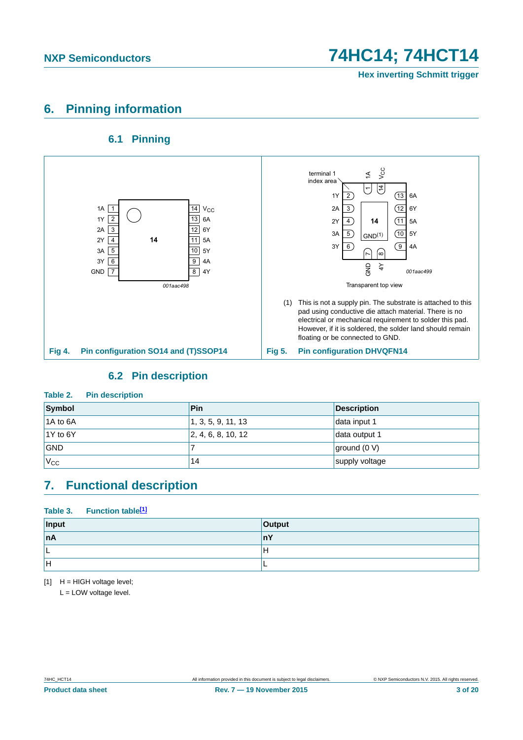# <span id="page-2-1"></span>**6. Pinning information**

### **6.1 Pinning**

<span id="page-2-2"></span>

### **6.2 Pin description**

### <span id="page-2-3"></span>**Table 2. Pin description**

| Symbol       | Pin                | <b>Description</b> |
|--------------|--------------------|--------------------|
| 1A to 6A     | 1, 3, 5, 9, 11, 13 | data input 1       |
| $1Y$ to 6Y   | 2, 4, 6, 8, 10, 12 | data output 1      |
| <b>GND</b>   |                    | ground (0 V)       |
| $V_{\rm CC}$ | 14                 | supply voltage     |

### <span id="page-2-4"></span>**7. Functional description**

### Table 3. Function table<sup>[1]</sup>

| Input | Output |
|-------|--------|
| nA    | ш      |
| -     | Ħ      |
| IН    |        |

<span id="page-2-0"></span> $[1]$  H = HIGH voltage level;

L = LOW voltage level.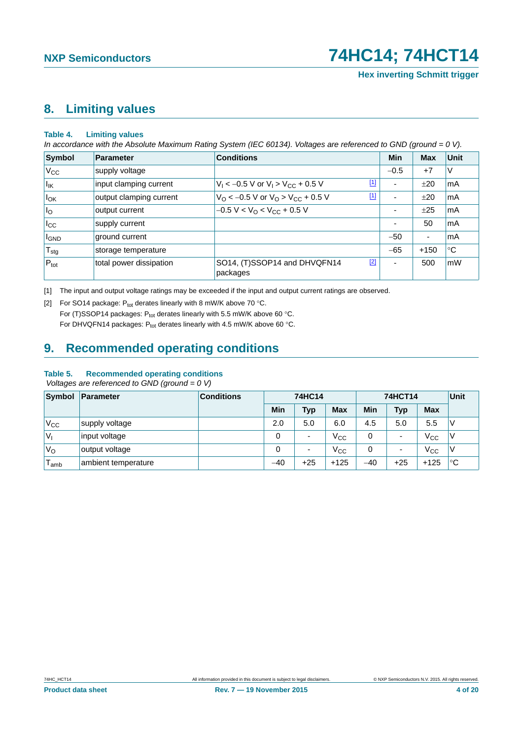# <span id="page-3-2"></span>**8. Limiting values**

#### **Table 4. Limiting values**

*In accordance with the Absolute Maximum Rating System (IEC 60134). Voltages are referenced to GND (ground = 0 V).*

| <b>Symbol</b>                    | Parameter               | <b>Conditions</b>                                          |       | Min                      | <b>Max</b>               | <b>Unit</b> |
|----------------------------------|-------------------------|------------------------------------------------------------|-------|--------------------------|--------------------------|-------------|
| $V_{\rm CC}$                     | supply voltage          |                                                            |       | $-0.5$                   | $+7$                     | V           |
| $I_{IK}$                         | input clamping current  | $V_1$ < -0.5 V or $V_1$ > $V_{CC}$ + 0.5 V                 | $[1]$ | ٠                        | ±20                      | mA          |
| $I_{OK}$                         | output clamping current | $V_{\rm O}$ < -0.5 V or $V_{\rm O}$ > $V_{\rm CC}$ + 0.5 V | $[1]$ | $\overline{\phantom{a}}$ | ±20                      | mA          |
| I <sub>o</sub>                   | output current          | $-0.5 V < VO < VCC + 0.5 V$                                |       | $\overline{\phantom{a}}$ | ±25                      | mA          |
| $I_{\rm CC}$                     | supply current          |                                                            |       | ۰                        | 50                       | mA          |
| , I <sub>GND</sub>               | ground current          |                                                            |       | $-50$                    | $\overline{\phantom{a}}$ | mA          |
| $^{\shortmid}$ T $_{\text{stg}}$ | storage temperature     |                                                            |       | $-65$                    | $+150$                   | °C          |
| $P_{\text{tot}}$                 | total power dissipation | SO14, (T)SSOP14 and DHVQFN14<br>packages                   | $[2]$ | ۰                        | 500                      | <b>mW</b>   |

<span id="page-3-0"></span>[1] The input and output voltage ratings may be exceeded if the input and output current ratings are observed.

<span id="page-3-1"></span>[2] For SO14 package:  $P_{tot}$  derates linearly with 8 mW/K above 70 °C. For (T)SSOP14 packages:  $P_{tot}$  derates linearly with 5.5 mW/K above 60 °C. For DHVQFN14 packages:  $P_{tot}$  derates linearly with 4.5 mW/K above 60 °C.

# <span id="page-3-3"></span>**9. Recommended operating conditions**

#### **Table 5. Recommended operating conditions**

 *Voltages are referenced to GND (ground = 0 V)*

| <b>Symbol</b> | Parameter           | <b>Conditions</b> | <b>74HC14</b> |                          | <b>74HCT14</b> |       |                          | Unit         |     |
|---------------|---------------------|-------------------|---------------|--------------------------|----------------|-------|--------------------------|--------------|-----|
|               |                     |                   | <b>Min</b>    | <b>Typ</b>               | <b>Max</b>     | Min   | <b>Typ</b>               | <b>Max</b>   |     |
| $V_{\rm CC}$  | supply voltage      |                   | 2.0           | 5.0                      | 6.0            | 4.5   | 5.0                      | 5.5          | V   |
| V,            | input voltage       |                   | 0             | $\overline{\phantom{0}}$ | $V_{\rm CC}$   | 0     | $\overline{\phantom{0}}$ | $V_{\rm CC}$ | ν   |
| $V_{\rm O}$   | output voltage      |                   | 0             | $\blacksquare$           | $V_{\rm CC}$   | 0     | $\overline{\phantom{0}}$ | $V_{\rm CC}$ | 'V  |
| amb           | ambient temperature |                   | $-40$         | $+25$                    | $+125$         | $-40$ | $+25$                    | $+125$       | ∣°C |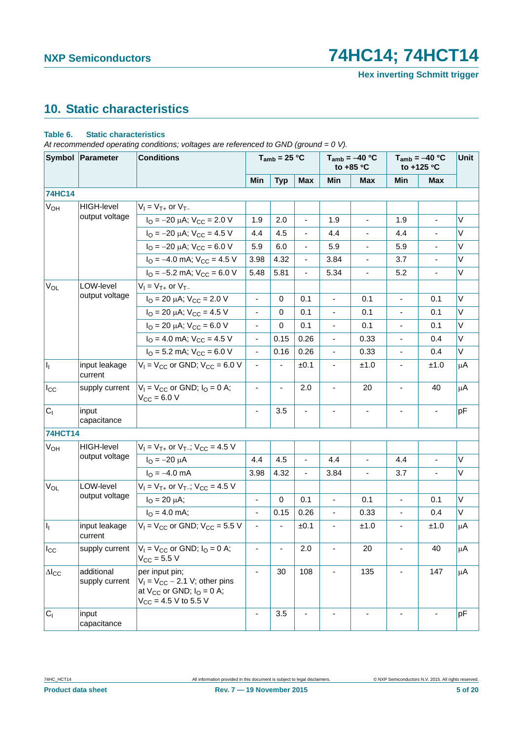**Hex inverting Schmitt trigger**

# <span id="page-4-0"></span>**10. Static characteristics**

### **Table 6. Static characteristics**

*At recommended operating conditions; voltages are referenced to GND (ground = 0 V).*

|                       | Symbol Parameter<br><b>Conditions</b> |                                                                                                                         |                          | $T_{amb}$ = 25 °C        |                          | $T_{amb} = -40 °C$<br>to +85 °C |                          | $T_{amb} = -40 °C$<br>to +125 °C |                              | Unit    |
|-----------------------|---------------------------------------|-------------------------------------------------------------------------------------------------------------------------|--------------------------|--------------------------|--------------------------|---------------------------------|--------------------------|----------------------------------|------------------------------|---------|
|                       |                                       |                                                                                                                         | Min                      | <b>Typ</b>               | <b>Max</b>               | Min                             | <b>Max</b>               | Min                              | <b>Max</b>                   |         |
| <b>74HC14</b>         |                                       |                                                                                                                         |                          |                          |                          |                                 |                          |                                  |                              |         |
| V <sub>OH</sub>       | <b>HIGH-level</b>                     | $V_1 = V_{T+}$ or $V_{T-}$                                                                                              |                          |                          |                          |                                 |                          |                                  |                              |         |
|                       | output voltage                        | $I_{\text{O}} = -20 \mu\text{A}$ ; $V_{\text{CC}} = 2.0 \text{ V}$                                                      | 1.9                      | 2.0                      | $\blacksquare$           | 1.9                             | $\blacksquare$           | 1.9                              | $\overline{\phantom{0}}$     | V       |
|                       |                                       | $I_{\text{O}} = -20 \mu\text{A}$ ; $V_{\text{CC}} = 4.5 \text{ V}$                                                      | 4.4                      | 4.5                      | $\blacksquare$           | 4.4                             |                          | 4.4                              | $\overline{a}$               | V       |
|                       |                                       | $I_{\text{O}} = -20 \mu\text{A}$ ; $V_{\text{CC}} = 6.0 \text{ V}$                                                      | 5.9                      | 6.0                      | $\overline{\phantom{a}}$ | 5.9                             |                          | 5.9                              | $\qquad \qquad \blacksquare$ | V       |
|                       |                                       | $I_{\Omega}$ = -4.0 mA; $V_{\text{CC}}$ = 4.5 V                                                                         | 3.98                     | 4.32                     | $\overline{\phantom{a}}$ | 3.84                            |                          | 3.7                              | L,                           | V       |
|                       |                                       | $I_{\text{O}} = -5.2 \text{ mA}$ ; $V_{\text{CC}} = 6.0 \text{ V}$                                                      | 5.48                     | 5.81                     | $\overline{\phantom{a}}$ | 5.34                            | $\overline{\phantom{a}}$ | 5.2                              | ä,                           | V       |
| <b>V<sub>OL</sub></b> | LOW-level                             | $V_1 = V_{T+}$ or $V_{T-}$                                                                                              |                          |                          |                          |                                 |                          |                                  |                              |         |
|                       | output voltage                        | $I_{\text{O}}$ = 20 µA; $V_{\text{CC}}$ = 2.0 V                                                                         | $\overline{\phantom{a}}$ | 0                        | 0.1                      | $\blacksquare$                  | 0.1                      | $\blacksquare$                   | 0.1                          | V       |
|                       |                                       | $I_{\text{O}}$ = 20 µA; $V_{\text{CC}}$ = 4.5 V                                                                         | $\overline{\phantom{a}}$ | 0                        | 0.1                      |                                 | 0.1                      | $\blacksquare$                   | 0.1                          | V       |
|                       |                                       | $I_{\text{O}}$ = 20 µA; $V_{\text{CC}}$ = 6.0 V                                                                         | $\overline{\phantom{a}}$ | 0                        | 0.1                      |                                 | 0.1                      | $\qquad \qquad \blacksquare$     | 0.1                          | V       |
|                       |                                       | $I_{\text{O}}$ = 4.0 mA; $V_{\text{CC}}$ = 4.5 V                                                                        | $\overline{\phantom{a}}$ | 0.15                     | 0.26                     |                                 | 0.33                     | $\overline{\phantom{a}}$         | 0.4                          | V       |
|                       |                                       | $I_{\text{O}}$ = 5.2 mA; $V_{\text{CC}}$ = 6.0 V                                                                        | $\overline{\phantom{a}}$ | 0.16                     | 0.26                     | $\overline{\phantom{a}}$        | 0.33                     | $\qquad \qquad \blacksquare$     | 0.4                          | V       |
| H,                    | input leakage<br>current              | $V_1 = V_{CC}$ or GND; $V_{CC} = 6.0$ V                                                                                 | $\blacksquare$           |                          | ±0.1                     | $\blacksquare$                  | ±1.0                     | $\overline{\phantom{a}}$         | ±1.0                         | μA      |
| $I_{\rm CC}$          | supply current                        | $V_1 = V_{CC}$ or GND; $I_Q = 0$ A;<br>$V_{CC} = 6.0 V$                                                                 |                          |                          | 2.0                      |                                 | 20                       |                                  | 40                           | μA      |
| C <sub>1</sub>        | input<br>capacitance                  |                                                                                                                         | $\overline{\phantom{a}}$ | 3.5                      | $\blacksquare$           |                                 | $\overline{\phantom{a}}$ | $\overline{\phantom{a}}$         | $\qquad \qquad \blacksquare$ | pF      |
| <b>74HCT14</b>        |                                       |                                                                                                                         |                          |                          |                          |                                 |                          |                                  |                              |         |
| $V_{OH}$              | <b>HIGH-level</b>                     | $V_1 = V_{T+}$ or $V_{T-}$ ; $V_{CC} = 4.5$ V                                                                           |                          |                          |                          |                                 |                          |                                  |                              |         |
|                       | output voltage                        | $I_{\Omega} = -20 \mu A$                                                                                                | 4.4                      | 4.5                      | $\blacksquare$           | 4.4                             |                          | 4.4                              | ÷,                           | V       |
|                       |                                       | $I_{\Omega} = -4.0$ mA                                                                                                  | 3.98                     | 4.32                     | $\overline{\phantom{a}}$ | 3.84                            | $\overline{\phantom{a}}$ | 3.7                              | $\overline{\phantom{0}}$     | V       |
| V <sub>OL</sub>       | LOW-level                             | $V_1 = V_{T+}$ or $V_{T-}$ ; $V_{CC} = 4.5$ V                                                                           |                          |                          |                          |                                 |                          |                                  |                              |         |
|                       | output voltage                        | $I_{\rm O} = 20 \mu A$ ;                                                                                                | $\overline{\phantom{a}}$ | 0                        | 0.1                      | $\blacksquare$                  | 0.1                      | $\blacksquare$                   | 0.1                          | V       |
|                       |                                       | $I_{\Omega} = 4.0$ mA;                                                                                                  | $\blacksquare$           | 0.15                     | 0.26                     | ä,                              | 0.33                     | $\overline{\phantom{a}}$         | 0.4                          | V       |
| H,                    | input leakage<br>current              | $V_1 = V_{CC}$ or GND; $V_{CC} = 5.5$ V                                                                                 | $\overline{\phantom{a}}$ | $\overline{\phantom{a}}$ | ±0.1                     | $\overline{\phantom{a}}$        | ±1.0                     | $\qquad \qquad \blacksquare$     | ±1.0                         | μA      |
| $I_{\rm CC}$          | supply current                        | $V_1 = V_{CC}$ or GND; $I_0 = 0$ A;<br>$V_{CC} = 5.5 V$                                                                 | $\blacksquare$           | ÷                        | 2.0                      |                                 | 20                       | $\overline{\phantom{a}}$         | 40                           | $\mu$ A |
| $\Delta I_{CC}$       | additional<br>supply current          | per input pin;<br>$V_1 = V_{CC} - 2.1$ V; other pins<br>at $V_{CC}$ or GND; $I_{O} = 0$ A;<br>$V_{CC}$ = 4.5 V to 5.5 V |                          | 30                       | 108                      |                                 | 135                      |                                  | 147                          | μA      |
| C <sub>1</sub>        | input<br>capacitance                  |                                                                                                                         |                          | 3.5                      |                          |                                 |                          |                                  |                              | pF      |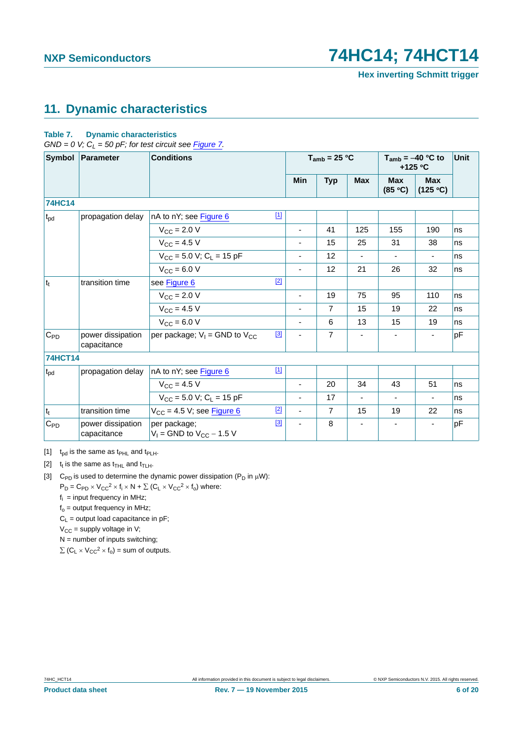# <span id="page-5-3"></span>**11. Dynamic characteristics**

### **Table 7. Dynamic characteristics**

 $GND = 0$  V;  $C_L = 50$  pF; for test circuit see [Figure 7](#page-6-0).

| Symbol            | Parameter                        | <b>Conditions</b>                               |             | $T_{amb}$ = 25 °C            |                |                          | $T_{amb} = -40$ °C to<br>$+125$ °C | Unit                   |    |
|-------------------|----------------------------------|-------------------------------------------------|-------------|------------------------------|----------------|--------------------------|------------------------------------|------------------------|----|
|                   |                                  |                                                 |             | Min                          | <b>Typ</b>     | <b>Max</b>               | <b>Max</b><br>(85 °C)              | <b>Max</b><br>(125 °C) |    |
| <b>74HC14</b>     |                                  |                                                 |             |                              |                |                          |                                    |                        |    |
| $t_{\text{pd}}$   | propagation delay                | nA to nY; see Figure 6                          | $[1]$       |                              |                |                          |                                    |                        |    |
|                   |                                  | $V_{\rm CC} = 2.0 V$                            |             | $\overline{\phantom{a}}$     | 41             | 125                      | 155                                | 190                    | ns |
|                   |                                  | $V_{CC}$ = 4.5 V                                |             |                              | 15             | 25                       | 31                                 | 38                     | ns |
|                   |                                  | $V_{CC}$ = 5.0 V; C <sub>L</sub> = 15 pF        |             |                              | 12             | $\overline{\phantom{a}}$ |                                    |                        | ns |
|                   |                                  | $V_{CC} = 6.0 V$                                |             | $\overline{\phantom{a}}$     | 12             | 21                       | 26                                 | 32                     | ns |
| $ t_t $           | transition time                  | see Figure 6                                    | $[2]$       |                              |                |                          |                                    |                        |    |
|                   |                                  | $V_{CC}$ = 2.0 V                                |             | ٠                            | 19             | 75                       | 95                                 | 110                    | ns |
|                   |                                  | $V_{CC}$ = 4.5 V                                |             | $\overline{\phantom{a}}$     | $\overline{7}$ | 15                       | 19                                 | 22                     | ns |
|                   |                                  | $V_{\text{CC}} = 6.0 V$                         |             | $\qquad \qquad \blacksquare$ | 6              | 13                       | 15                                 | 19                     | ns |
| $C_{PD}$          | power dissipation<br>capacitance | per package; $V_1$ = GND to $V_{CC}$            | $[3]$       |                              | $\overline{7}$ |                          |                                    |                        | pF |
| <b>74HCT14</b>    |                                  |                                                 |             |                              |                |                          |                                    |                        |    |
| $t_{\rm pd}$      | propagation delay                | nA to nY; see Figure 6                          | $\boxed{1}$ |                              |                |                          |                                    |                        |    |
|                   |                                  | $V_{CC}$ = 4.5 V                                |             | $\overline{\phantom{a}}$     | 20             | 34                       | 43                                 | 51                     | ns |
|                   |                                  | $V_{CC}$ = 5.0 V; C <sub>L</sub> = 15 pF        |             |                              | 17             |                          |                                    |                        | ns |
| $ t_t $           | transition time                  | $V_{CC}$ = 4.5 V; see Figure 6                  | $[2]$       | $\blacksquare$               | $\overline{7}$ | 15                       | 19                                 | 22                     | ns |
| $C_{\mathsf{PD}}$ | power dissipation<br>capacitance | per package;<br>$V_1$ = GND to $V_{CC}$ – 1.5 V | $[3]$       |                              | 8              | $\overline{\phantom{a}}$ | ٠                                  |                        | pF |

<span id="page-5-0"></span>[1]  $t_{pd}$  is the same as  $t_{PHL}$  and  $t_{PLH}$ .

<span id="page-5-1"></span>[2]  $t_t$  is the same as  $t_{\text{THL}}$  and  $t_{\text{TLH}}$ .

<span id="page-5-2"></span>[3] C<sub>PD</sub> is used to determine the dynamic power dissipation (P<sub>D</sub> in  $\mu$ W):  $P_D = C_{PD} \times V_{CC}^2 \times f_i \times N + \sum (C_L \times V_{CC}^2 \times f_0)$  where:

 $f_i$  = input frequency in MHz;

 $f<sub>o</sub>$  = output frequency in MHz;

 $C_L$  = output load capacitance in pF;

 $V_{CC}$  = supply voltage in V;

 $N =$  number of inputs switching;  $\sum$  (C<sub>L</sub>  $\times$  V<sub>CC</sub><sup>2</sup>  $\times$  f<sub>o</sub>) = sum of outputs.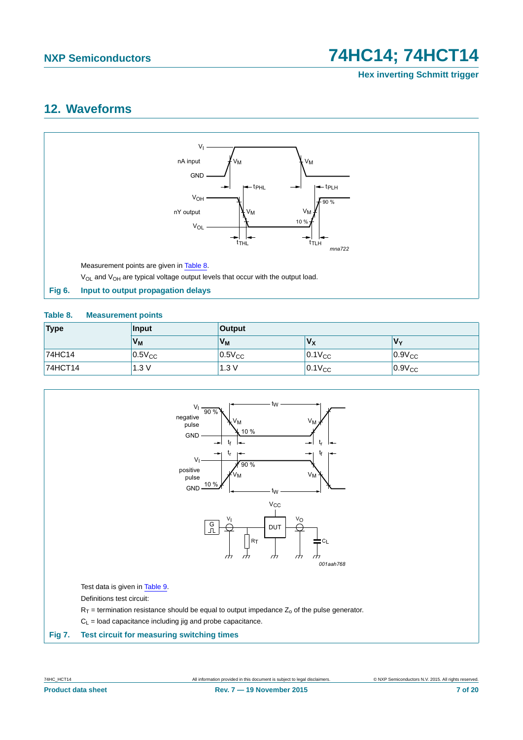**Hex inverting Schmitt trigger**

## <span id="page-6-3"></span>**12. Waveforms**



### <span id="page-6-2"></span><span id="page-6-1"></span>**Table 8. Measurement points**

| Type    | Input          | <b>Output</b>  |             |             |  |  |
|---------|----------------|----------------|-------------|-------------|--|--|
|         | V <sub>M</sub> | V <sub>M</sub> | Vx          | Vv          |  |  |
| 74HC14  | $0.5V_{CC}$    | $0.5V_{CC}$    | $0.1V_{CC}$ | $0.9V_{CC}$ |  |  |
| 74HCT14 | 1.3V           | 1.3V           | $0.1V_{CC}$ | $0.9V_{CC}$ |  |  |

<span id="page-6-0"></span>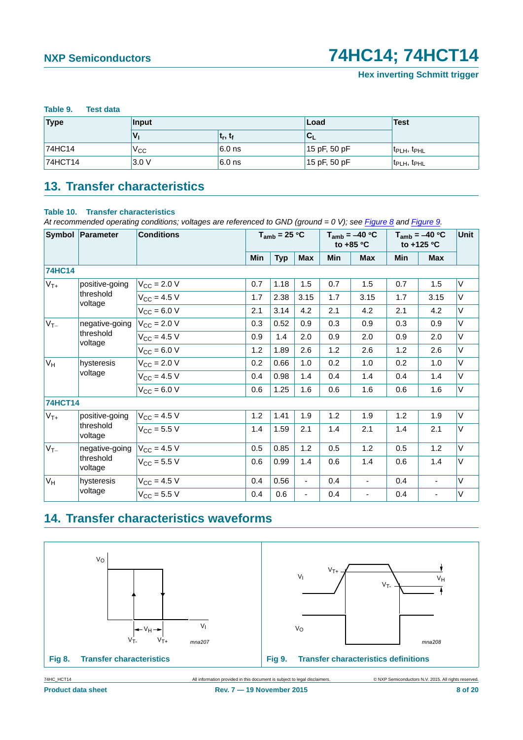<span id="page-7-0"></span>

| Table 9. | <b>Test data</b> |
|----------|------------------|
|          |                  |

| <b>Type</b> | Input |            | Load         | <b>Test</b>                          |  |
|-------------|-------|------------|--------------|--------------------------------------|--|
|             |       | $t_r, t_f$ | 'u           |                                      |  |
| 74HC14      | Vcc   | $6.0$ ns   | 15 pF, 50 pF | $ t_{\text{PLH}}$ , $t_{\text{PHL}}$ |  |
| 74HCT14     | 3.0V  | $6.0$ ns   | 15 pF, 50 pF | $ t_{\text{PLH}}, t_{\text{PHL}} $   |  |

# <span id="page-7-3"></span>**13. Transfer characteristics**

### **Table 10. Transfer characteristics**

*At recommended operating conditions; voltages are referenced to GND (ground = 0 V); see [Figure 8](#page-7-1) and [Figure 9](#page-7-2).*

|                                  | Symbol Parameter     | <b>Conditions</b>       |     | $T_{amb}$ = 25 °C |                |                          | $T_{amb} = -40 °C$<br>to $+85$ °C |               | $T_{amb} = -40 °C$<br>to +125 $\degree$ C |        |
|----------------------------------|----------------------|-------------------------|-----|-------------------|----------------|--------------------------|-----------------------------------|---------------|-------------------------------------------|--------|
|                                  |                      |                         | Min | <b>Typ</b>        | <b>Max</b>     | Min                      | <b>Max</b>                        | Min           | <b>Max</b>                                |        |
| <b>74HC14</b>                    |                      |                         |     |                   |                |                          |                                   |               |                                           |        |
| $V_{T+}$                         | positive-going       | $V_{\text{CC}} = 2.0 V$ | 0.7 | 1.18              | 1.5            | 0.7                      | 1.5                               | 0.7           | 1.5                                       | V      |
|                                  | threshold<br>voltage | $V_{CC} = 4.5 V$        | 1.7 | 2.38              | 3.15           | 1.7                      | 3.15                              | 1.7           | 3.15                                      | V      |
|                                  |                      | $V_{CC}$ = 6.0 V        | 2.1 | 3.14              | 4.2            | 2.1                      | 4.2                               | 2.1           | 4.2                                       | V      |
| $V_{T-}$                         | negative-going       | $V_{CC} = 2.0 V$        | 0.3 | 0.52              | 0.9            | 0.3                      | 0.9                               | 0.3           | 0.9                                       | V      |
|                                  | threshold<br>voltage | $V_{CC} = 4.5 V$        | 0.9 | 1.4               | 2.0            | 0.9                      | 2.0                               | 0.9           | 2.0                                       | V      |
|                                  |                      | $V_{CC} = 6.0 V$        | 1.2 | 1.89              | 2.6            | 1.2                      | 2.6                               | 1.2           | 2.6                                       | V      |
| $V_H$                            | hysteresis           | $V_{CC} = 2.0 V$        | 0.2 | 0.66              | 1.0            | 0.2                      | 1.0                               | 0.2           | 1.0                                       | V      |
|                                  | voltage              | $V_{CC}$ = 4.5 V        | 0.4 | 0.98              | 1.4            | 0.4                      | 1.4                               | 0.4           | 1.4                                       | V      |
|                                  |                      | $V_{CC} = 6.0 V$        | 0.6 | 1.25              | 1.6            | 0.6                      | 1.6                               | 0.6           | 1.6                                       | V      |
| <b>74HCT14</b>                   |                      |                         |     |                   |                |                          |                                   |               |                                           |        |
| $V_{T+}$                         | positive-going       | $V_{CC} = 4.5 V$        | 1.2 | 1.41              | 1.9            | 1.2                      | 1.9                               | 1.2           | 1.9                                       | $\vee$ |
|                                  | threshold<br>voltage | $V_{CC} = 5.5 V$        | 1.4 | 1.59              | 2.1            | 1.4                      | 2.1                               | 1.4           | 2.1                                       | V      |
| $V_{T-}$<br>threshold<br>voltage | negative-going       | $V_{CC} = 4.5 V$        | 0.5 | 0.85              | 1.2            | 0.5                      | 1.2                               | 0.5           | 1.2                                       | V      |
|                                  |                      | $V_{CC}$ = 5.5 V        | 0.6 | 0.99              | 1.4            | 0.6                      | 1.4                               | 0.6           | 1.4                                       | V      |
| $V_H$                            | hysteresis           | $V_{CC}$ = 4.5 V        | 0.4 | 0.56              | $\blacksquare$ | 0.4                      |                                   | 0.4           | ÷,                                        | V      |
| voltage                          | $V_{CC}$ = 5.5 V     | 0.4                     | 0.6 | $\blacksquare$    | 0.4            | $\overline{\phantom{a}}$ | 0.4                               | $\frac{1}{2}$ | V                                         |        |

# <span id="page-7-4"></span>**14. Transfer characteristics waveforms**



<span id="page-7-2"></span><span id="page-7-1"></span>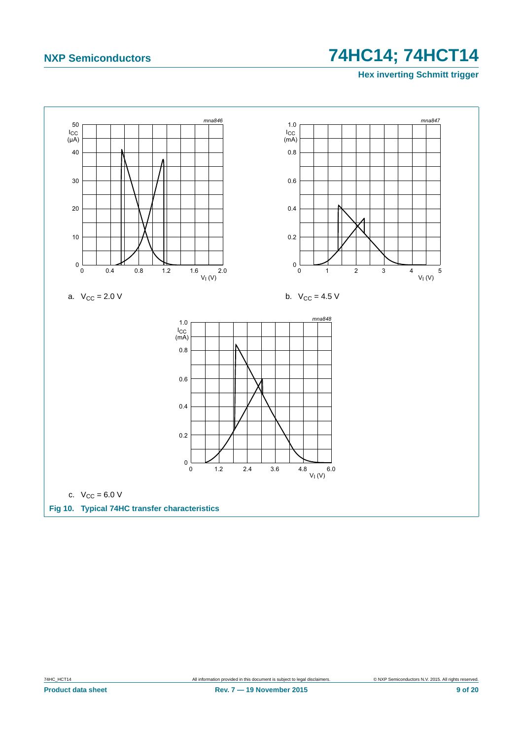**Hex inverting Schmitt trigger**

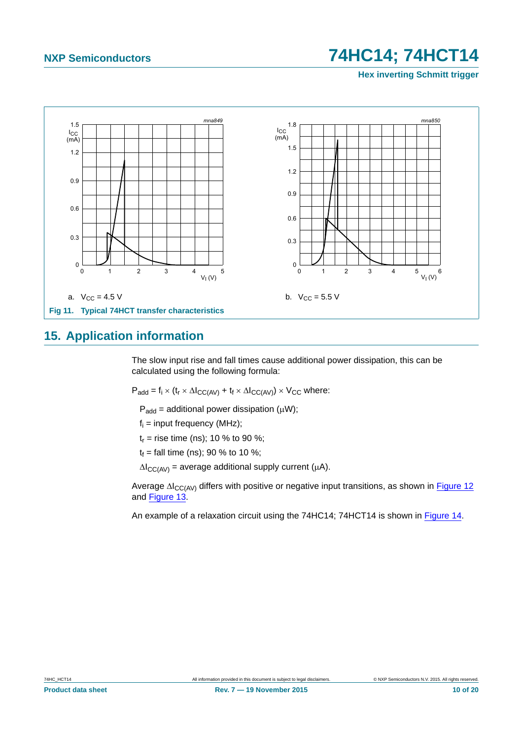**Hex inverting Schmitt trigger**



### <span id="page-9-0"></span>**15. Application information**

The slow input rise and fall times cause additional power dissipation, this can be calculated using the following formula:

 $P_{add} = f_i \times (t_r \times \Delta I_{CC(AV)} + t_f \times \Delta I_{CC(AV)}) \times V_{CC}$  where:

 $P_{add} =$  additional power dissipation ( $\mu$ W);

 $f_i$  = input frequency (MHz);

 $t_r$  = rise time (ns); 10 % to 90 %;

 $t_f$  = fall time (ns); 90 % to 10 %;

 $\Delta I_{CC(AV)}$  = average additional supply current ( $\mu$ A).

Average  $\Delta I_{CC(AV)}$  differs with positive or negative input transitions, as shown in [Figure 12](#page-10-0) and [Figure 13.](#page-10-1)

An example of a relaxation circuit using the 74HC14; 74HCT14 is shown in [Figure 14.](#page-11-0)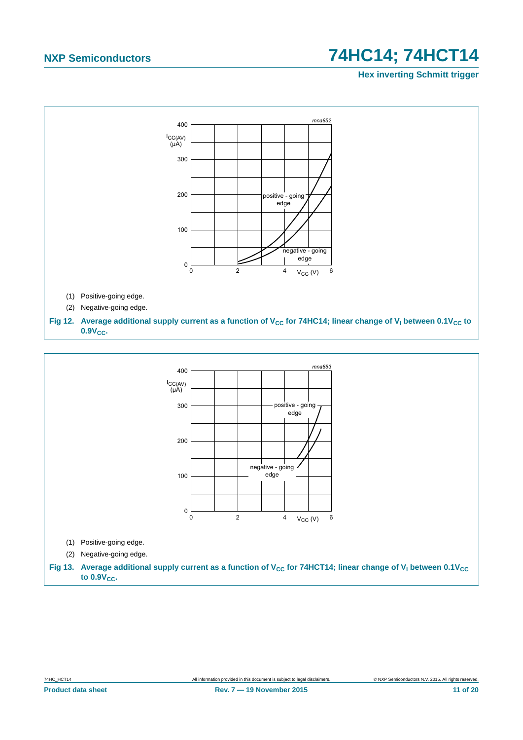**Hex inverting Schmitt trigger**



<span id="page-10-1"></span><span id="page-10-0"></span>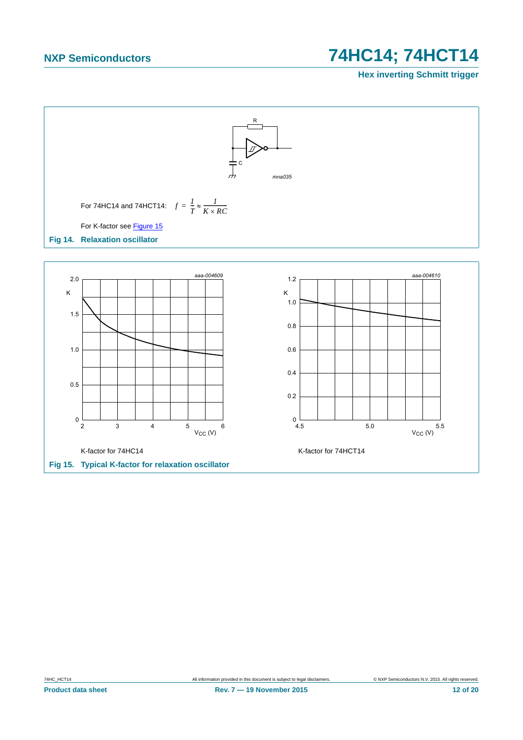### **Hex inverting Schmitt trigger**



<span id="page-11-1"></span><span id="page-11-0"></span>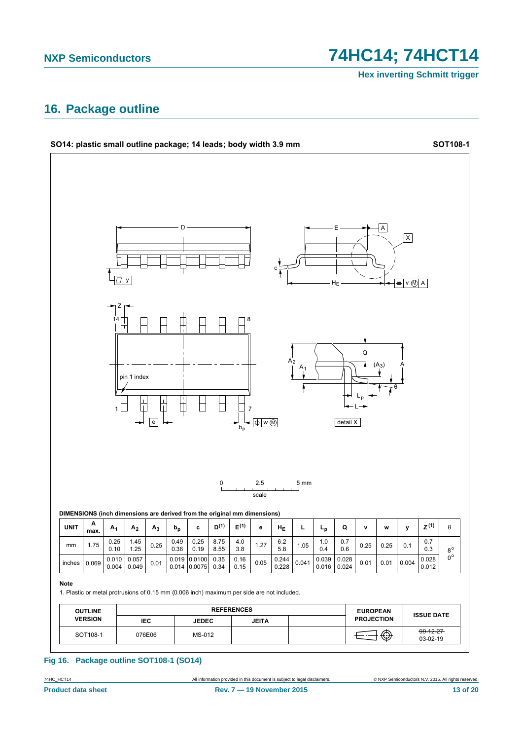74HC14; 74HCT14

**Hex inverting Schmitt trigger** 

# <span id="page-12-0"></span>16. Package outline



### Fig 16. Package outline SOT108-1 (SO14)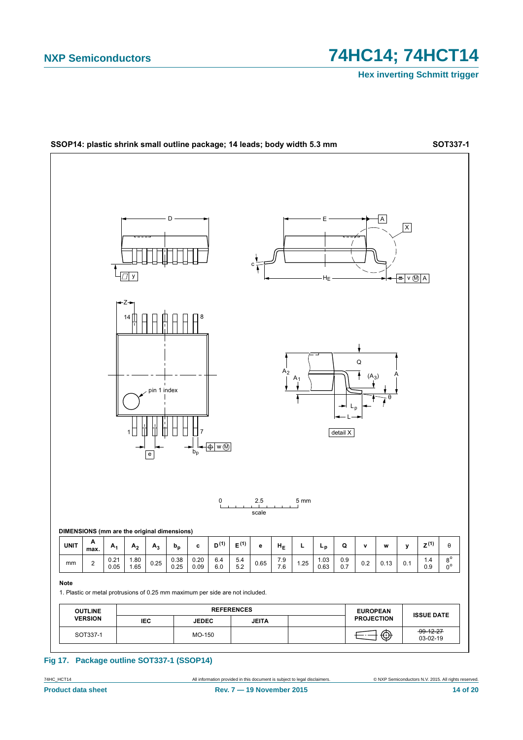

Fig 17. Package outline SOT337-1 (SSOP14)

74HC\_HCT14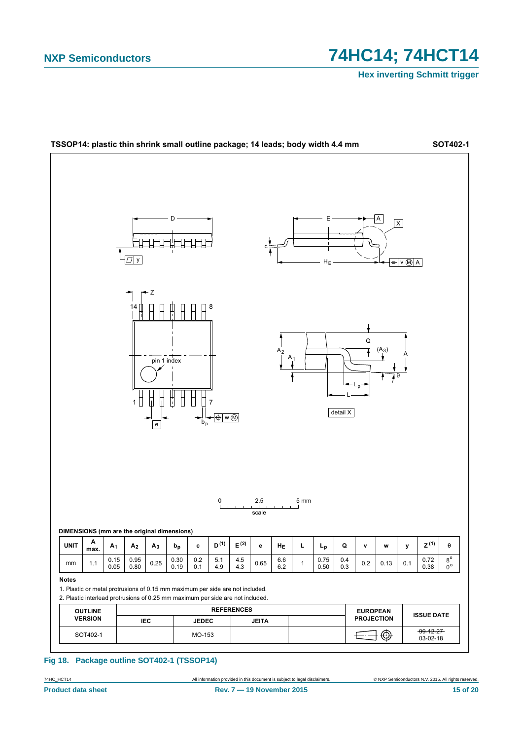

Fig 18. Package outline SOT402-1 (TSSOP14)

74HC\_HCT14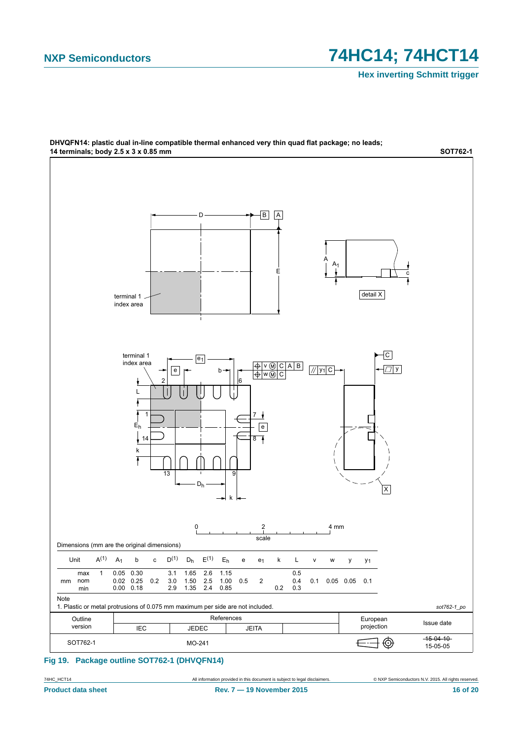**Hex inverting Schmitt trigger**



# DHVQFN14: plastic dual in-line compatible thermal enhanced very thin quad flat package; no leads;

**Fig 19. Package outline SOT762-1 (DHVQFN14)**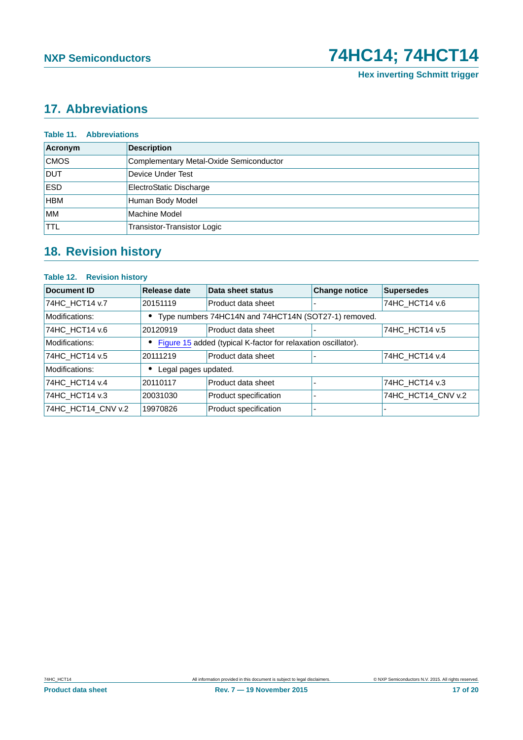# <span id="page-16-0"></span>**17. Abbreviations**

| <b>Table 11. Abbreviations</b> |                                         |  |  |  |  |
|--------------------------------|-----------------------------------------|--|--|--|--|
| Acronym                        | <b>Description</b>                      |  |  |  |  |
| <b>CMOS</b>                    | Complementary Metal-Oxide Semiconductor |  |  |  |  |
| <b>DUT</b>                     | Device Under Test                       |  |  |  |  |
| <b>ESD</b>                     | <b>ElectroStatic Discharge</b>          |  |  |  |  |
| <b>HBM</b>                     | Human Body Model                        |  |  |  |  |
| <b>MM</b>                      | Machine Model                           |  |  |  |  |
| <b>TTL</b>                     | Transistor-Transistor Logic             |  |  |  |  |

# <span id="page-16-1"></span>**18. Revision history**

### **Table 12. Revision history**

| Document ID        | Release date                                         | Data sheet status                                             | <b>Change notice</b> | <b>Supersedes</b>  |
|--------------------|------------------------------------------------------|---------------------------------------------------------------|----------------------|--------------------|
| 74HC HCT14 v.7     | 20151119                                             | Product data sheet                                            |                      | 74HC_HCT14 v.6     |
| Modifications:     | Type numbers 74HC14N and 74HCT14N (SOT27-1) removed. |                                                               |                      |                    |
| 74HC HCT14 v.6     | 20120919                                             | Product data sheet                                            |                      | 74HC HCT14 v.5     |
| Modifications:     |                                                      | Figure 15 added (typical K-factor for relaxation oscillator). |                      |                    |
| 74HC_HCT14 v.5     | 20111219                                             | Product data sheet                                            |                      | 74HC HCT14 v.4     |
| Modifications:     | Legal pages updated.                                 |                                                               |                      |                    |
| 74HC HCT14 v.4     | 20110117                                             | Product data sheet                                            |                      | 74HC HCT14 v.3     |
| 74HC_HCT14 v.3     | 20031030                                             | Product specification                                         |                      | 74HC HCT14 CNV v.2 |
| 74HC_HCT14_CNV v.2 | 19970826                                             | Product specification                                         |                      |                    |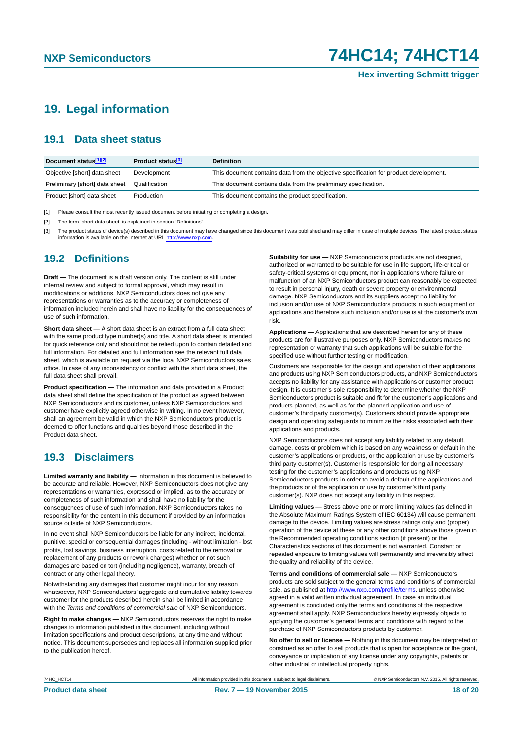## <span id="page-17-3"></span>**19. Legal information**

### <span id="page-17-4"></span>**19.1 Data sheet status**

| Document status[1][2]          | <b>Product status</b> <sup>[3]</sup> | <b>Definition</b>                                                                     |
|--------------------------------|--------------------------------------|---------------------------------------------------------------------------------------|
| Objective [short] data sheet   | Development                          | This document contains data from the objective specification for product development. |
| Preliminary [short] data sheet | Qualification                        | This document contains data from the preliminary specification.                       |
| Product [short] data sheet     | Production                           | This document contains the product specification.                                     |

<span id="page-17-0"></span>[1] Please consult the most recently issued document before initiating or completing a design.

<span id="page-17-1"></span>[2] The term 'short data sheet' is explained in section "Definitions".

<span id="page-17-2"></span>[3] The product status of device(s) described in this document may have changed since this document was published and may differ in case of multiple devices. The latest product status<br>information is available on the Intern

### <span id="page-17-5"></span>**19.2 Definitions**

**Draft —** The document is a draft version only. The content is still under internal review and subject to formal approval, which may result in modifications or additions. NXP Semiconductors does not give any representations or warranties as to the accuracy or completeness of information included herein and shall have no liability for the consequences of use of such information.

**Short data sheet —** A short data sheet is an extract from a full data sheet with the same product type number(s) and title. A short data sheet is intended for quick reference only and should not be relied upon to contain detailed and full information. For detailed and full information see the relevant full data sheet, which is available on request via the local NXP Semiconductors sales office. In case of any inconsistency or conflict with the short data sheet, the full data sheet shall prevail.

**Product specification —** The information and data provided in a Product data sheet shall define the specification of the product as agreed between NXP Semiconductors and its customer, unless NXP Semiconductors and customer have explicitly agreed otherwise in writing. In no event however, shall an agreement be valid in which the NXP Semiconductors product is deemed to offer functions and qualities beyond those described in the Product data sheet.

### <span id="page-17-6"></span>**19.3 Disclaimers**

**Limited warranty and liability —** Information in this document is believed to be accurate and reliable. However, NXP Semiconductors does not give any representations or warranties, expressed or implied, as to the accuracy or completeness of such information and shall have no liability for the consequences of use of such information. NXP Semiconductors takes no responsibility for the content in this document if provided by an information source outside of NXP Semiconductors.

In no event shall NXP Semiconductors be liable for any indirect, incidental, punitive, special or consequential damages (including - without limitation - lost profits, lost savings, business interruption, costs related to the removal or replacement of any products or rework charges) whether or not such damages are based on tort (including negligence), warranty, breach of contract or any other legal theory.

Notwithstanding any damages that customer might incur for any reason whatsoever, NXP Semiconductors' aggregate and cumulative liability towards customer for the products described herein shall be limited in accordance with the *Terms and conditions of commercial sale* of NXP Semiconductors.

**Right to make changes —** NXP Semiconductors reserves the right to make changes to information published in this document, including without limitation specifications and product descriptions, at any time and without notice. This document supersedes and replaces all information supplied prior to the publication hereof.

**Suitability for use —** NXP Semiconductors products are not designed, authorized or warranted to be suitable for use in life support, life-critical or safety-critical systems or equipment, nor in applications where failure or malfunction of an NXP Semiconductors product can reasonably be expected to result in personal injury, death or severe property or environmental damage. NXP Semiconductors and its suppliers accept no liability for inclusion and/or use of NXP Semiconductors products in such equipment or applications and therefore such inclusion and/or use is at the customer's own risk.

**Applications —** Applications that are described herein for any of these products are for illustrative purposes only. NXP Semiconductors makes no representation or warranty that such applications will be suitable for the specified use without further testing or modification.

Customers are responsible for the design and operation of their applications and products using NXP Semiconductors products, and NXP Semiconductors accepts no liability for any assistance with applications or customer product design. It is customer's sole responsibility to determine whether the NXP Semiconductors product is suitable and fit for the customer's applications and products planned, as well as for the planned application and use of customer's third party customer(s). Customers should provide appropriate design and operating safeguards to minimize the risks associated with their applications and products.

NXP Semiconductors does not accept any liability related to any default, damage, costs or problem which is based on any weakness or default in the customer's applications or products, or the application or use by customer's third party customer(s). Customer is responsible for doing all necessary testing for the customer's applications and products using NXP Semiconductors products in order to avoid a default of the applications and the products or of the application or use by customer's third party customer(s). NXP does not accept any liability in this respect.

**Limiting values —** Stress above one or more limiting values (as defined in the Absolute Maximum Ratings System of IEC 60134) will cause permanent damage to the device. Limiting values are stress ratings only and (proper) operation of the device at these or any other conditions above those given in the Recommended operating conditions section (if present) or the Characteristics sections of this document is not warranted. Constant or repeated exposure to limiting values will permanently and irreversibly affect the quality and reliability of the device.

**Terms and conditions of commercial sale —** NXP Semiconductors products are sold subject to the general terms and conditions of commercial sale, as published at<http://www.nxp.com/profile/terms>, unless otherwise agreed in a valid written individual agreement. In case an individual agreement is concluded only the terms and conditions of the respective agreement shall apply. NXP Semiconductors hereby expressly objects to applying the customer's general terms and conditions with regard to the purchase of NXP Semiconductors products by customer.

**No offer to sell or license —** Nothing in this document may be interpreted or construed as an offer to sell products that is open for acceptance or the grant, conveyance or implication of any license under any copyrights, patents or other industrial or intellectual property rights.

74HC\_HCT14 All information provided in this document is subject to legal disclaimers. © NXP Semiconductors N.V. 2015. All rights reserved.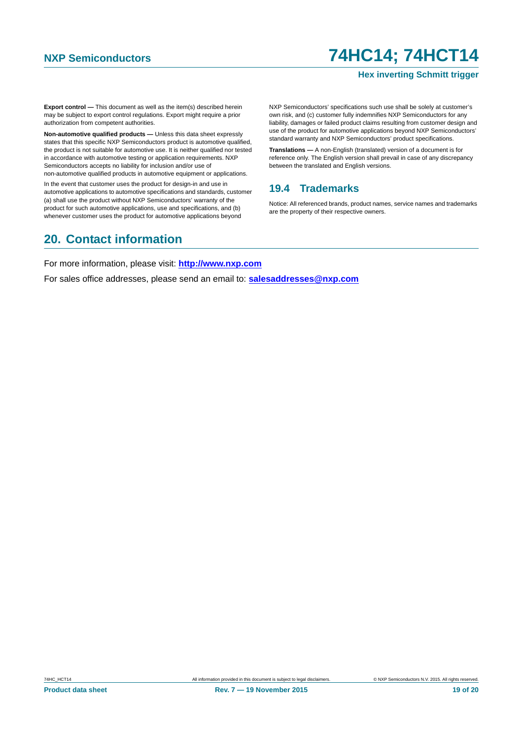### **Hex inverting Schmitt trigger**

**Export control —** This document as well as the item(s) described herein may be subject to export control regulations. Export might require a prior authorization from competent authorities.

**Non-automotive qualified products —** Unless this data sheet expressly states that this specific NXP Semiconductors product is automotive qualified, the product is not suitable for automotive use. It is neither qualified nor tested in accordance with automotive testing or application requirements. NXP Semiconductors accepts no liability for inclusion and/or use of non-automotive qualified products in automotive equipment or applications.

In the event that customer uses the product for design-in and use in automotive applications to automotive specifications and standards, customer (a) shall use the product without NXP Semiconductors' warranty of the product for such automotive applications, use and specifications, and (b) whenever customer uses the product for automotive applications beyond

NXP Semiconductors' specifications such use shall be solely at customer's own risk, and (c) customer fully indemnifies NXP Semiconductors for any liability, damages or failed product claims resulting from customer design and use of the product for automotive applications beyond NXP Semiconductors' standard warranty and NXP Semiconductors' product specifications.

**Translations —** A non-English (translated) version of a document is for reference only. The English version shall prevail in case of any discrepancy between the translated and English versions.

### <span id="page-18-0"></span>**19.4 Trademarks**

Notice: All referenced brands, product names, service names and trademarks are the property of their respective owners.

# <span id="page-18-1"></span>**20. Contact information**

For more information, please visit: **http://www.nxp.com**

For sales office addresses, please send an email to: **salesaddresses@nxp.com**